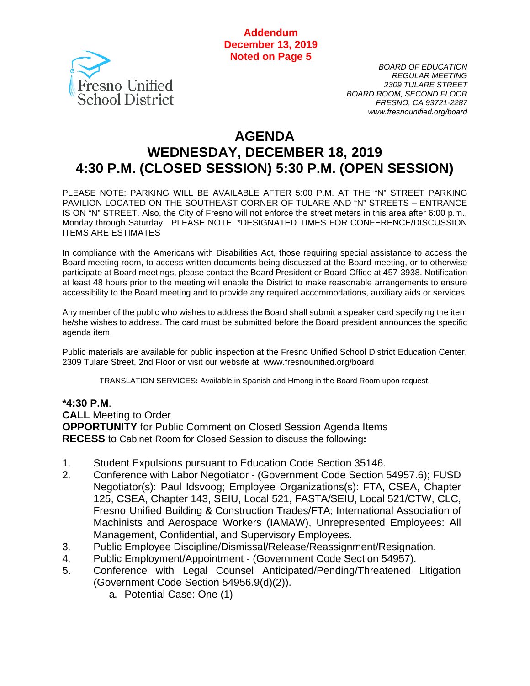**Addendum December 13, 2019 Noted on Page 5**



*BOARD OF EDUCATION REGULAR MEETING 2309 TULARE STREET BOARD ROOM, SECOND FLOOR FRESNO, CA 93721-2287 www.fresnounified.org/board*

# **AGENDA WEDNESDAY, DECEMBER 18, 2019 4:30 P.M. (CLOSED SESSION) 5:30 P.M. (OPEN SESSION)**

PLEASE NOTE: PARKING WILL BE AVAILABLE AFTER 5:00 P.M. AT THE "N" STREET PARKING PAVILION LOCATED ON THE SOUTHEAST CORNER OF TULARE AND "N" STREETS – ENTRANCE IS ON "N" STREET. Also, the City of Fresno will not enforce the street meters in this area after 6:00 p.m., Monday through Saturday. PLEASE NOTE: \*DESIGNATED TIMES FOR CONFERENCE/DISCUSSION ITEMS ARE ESTIMATES

In compliance with the Americans with Disabilities Act, those requiring special assistance to access the Board meeting room, to access written documents being discussed at the Board meeting, or to otherwise participate at Board meetings, please contact the Board President or Board Office at 457-3938. Notification at least 48 hours prior to the meeting will enable the District to make reasonable arrangements to ensure accessibility to the Board meeting and to provide any required accommodations, auxiliary aids or services.

Any member of the public who wishes to address the Board shall submit a speaker card specifying the item he/she wishes to address. The card must be submitted before the Board president announces the specific agenda item.

Public materials are available for public inspection at the Fresno Unified School District Education Center, 2309 Tulare Street, 2nd Floor or visit our website at: www.fresnounified.org/board

TRANSLATION SERVICES**:** Available in Spanish and Hmong in the Board Room upon request.

#### **\*4:30 P.M**.

**CALL** Meeting to Order **OPPORTUNITY** for Public Comment on Closed Session Agenda Items **RECESS** to Cabinet Room for Closed Session to discuss the following**:**

- 1. Student Expulsions pursuant to Education Code Section 35146.
- 2. Conference with Labor Negotiator (Government Code Section 54957.6); FUSD Negotiator(s): Paul Idsvoog; Employee Organizations(s): FTA, CSEA, Chapter 125, CSEA, Chapter 143, SEIU, Local 521, FASTA/SEIU, Local 521/CTW, CLC, Fresno Unified Building & Construction Trades/FTA; International Association of Machinists and Aerospace Workers (IAMAW), Unrepresented Employees: All Management, Confidential, and Supervisory Employees.
- 3. Public Employee Discipline/Dismissal/Release/Reassignment/Resignation.
- 4. Public Employment/Appointment (Government Code Section 54957).
- 5. Conference with Legal Counsel Anticipated/Pending/Threatened Litigation (Government Code Section 54956.9(d)(2)).
	- a. Potential Case: One (1)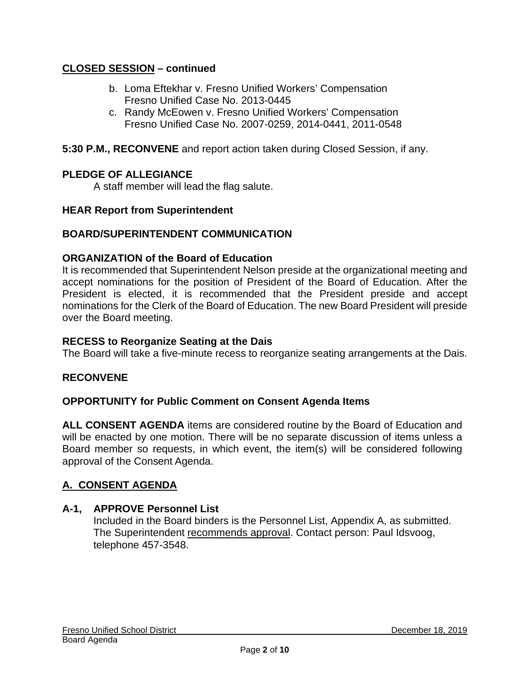### **CLOSED SESSION – continued**

- b. Loma Eftekhar v. Fresno Unified Workers' Compensation Fresno Unified Case No. 2013-0445
- c. Randy McEowen v. Fresno Unified Workers' Compensation Fresno Unified Case No. 2007-0259, 2014-0441, 2011-0548
- **5:30 P.M., RECONVENE** and report action taken during Closed Session, if any.

### **PLEDGE OF ALLEGIANCE**

A staff member will lead the flag salute.

### **HEAR Report from Superintendent**

### **BOARD/SUPERINTENDENT COMMUNICATION**

### **ORGANIZATION of the Board of Education**

It is recommended that Superintendent Nelson preside at the organizational meeting and accept nominations for the position of President of the Board of Education. After the President is elected, it is recommended that the President preside and accept nominations for the Clerk of the Board of Education. The new Board President will preside over the Board meeting.

#### **RECESS to Reorganize Seating at the Dais**

The Board will take a five-minute recess to reorganize seating arrangements at the Dais.

### **RECONVENE**

#### **OPPORTUNITY for Public Comment on Consent Agenda Items**

**ALL CONSENT AGENDA** items are considered routine by the Board of Education and will be enacted by one motion. There will be no separate discussion of items unless a Board member so requests, in which event, the item(s) will be considered following approval of the Consent Agenda.

### **A. CONSENT AGENDA**

#### **A-1, APPROVE Personnel List**

Included in the Board binders is the Personnel List, Appendix A, as submitted. The Superintendent recommends approval. Contact person: Paul Idsvoog, telephone 457-3548.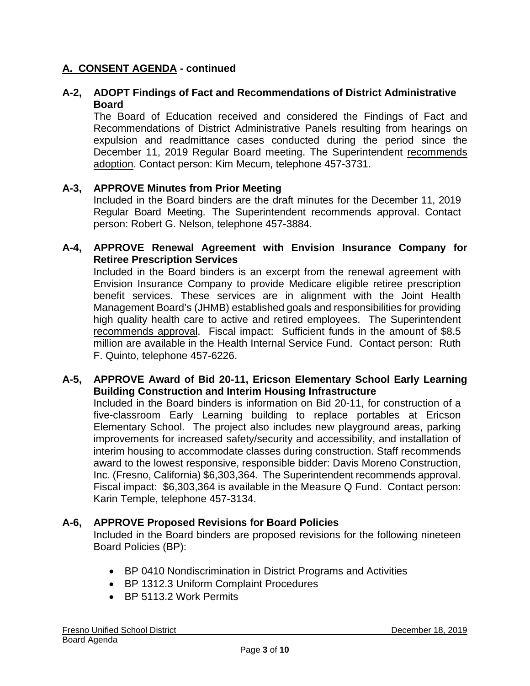#### **A-2, ADOPT Findings of Fact and Recommendations of District Administrative Board**

The Board of Education received and considered the Findings of Fact and Recommendations of District Administrative Panels resulting from hearings on expulsion and readmittance cases conducted during the period since the December 11, 2019 Regular Board meeting. The Superintendent recommends adoption. Contact person: Kim Mecum, telephone 457-3731.

#### **A-3, APPROVE Minutes from Prior Meeting**

Included in the Board binders are the draft minutes for the December 11, 2019 Regular Board Meeting. The Superintendent recommends approval. Contact person: Robert G. Nelson, telephone 457-3884.

#### **A-4, APPROVE Renewal Agreement with Envision Insurance Company for Retiree Prescription Services**

Included in the Board binders is an excerpt from the renewal agreement with Envision Insurance Company to provide Medicare eligible retiree prescription benefit services. These services are in alignment with the Joint Health Management Board's (JHMB) established goals and responsibilities for providing high quality health care to active and retired employees. The Superintendent recommends approval. Fiscal impact: Sufficient funds in the amount of \$8.5 million are available in the Health Internal Service Fund. Contact person: Ruth F. Quinto, telephone 457-6226.

#### **A-5, APPROVE Award of Bid 20-11, Ericson Elementary School Early Learning Building Construction and Interim Housing Infrastructure**

Included in the Board binders is information on Bid 20-11, for construction of a five-classroom Early Learning building to replace portables at Ericson Elementary School. The project also includes new playground areas, parking improvements for increased safety/security and accessibility, and installation of interim housing to accommodate classes during construction. Staff recommends award to the lowest responsive, responsible bidder: Davis Moreno Construction, Inc. (Fresno, California) \$6,303,364. The Superintendent recommends approval. Fiscal impact: \$6,303,364 is available in the Measure Q Fund. Contact person: Karin Temple, telephone 457-3134.

#### **A-6, APPROVE Proposed Revisions for Board Policies**

Included in the Board binders are proposed revisions for the following nineteen Board Policies (BP):

- BP 0410 Nondiscrimination in District Programs and Activities
- BP 1312.3 Uniform Complaint Procedures
- BP 5113.2 Work Permits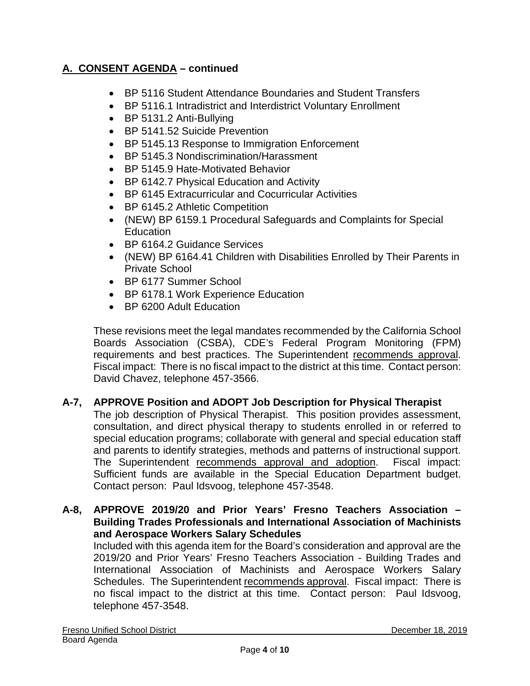- BP 5116 Student Attendance Boundaries and Student Transfers
- BP 5116.1 Intradistrict and Interdistrict Voluntary Enrollment
- BP 5131.2 Anti-Bullying
- BP 5141.52 Suicide Prevention
- BP 5145.13 Response to Immigration Enforcement
- BP 5145.3 Nondiscrimination/Harassment
- BP 5145.9 Hate-Motivated Behavior
- BP 6142.7 Physical Education and Activity
- BP 6145 Extracurricular and Cocurricular Activities
- BP 6145.2 Athletic Competition
- (NEW) BP 6159.1 Procedural Safeguards and Complaints for Special Education
- BP 6164.2 Guidance Services
- (NEW) BP 6164.41 Children with Disabilities Enrolled by Their Parents in Private School
- BP 6177 Summer School
- BP 6178.1 Work Experience Education
- BP 6200 Adult Education

These revisions meet the legal mandates recommended by the California School Boards Association (CSBA), CDE's Federal Program Monitoring (FPM) requirements and best practices. The Superintendent recommends approval. Fiscal impact: There is no fiscal impact to the district at this time. Contact person: David Chavez, telephone 457-3566.

### **A-7, APPROVE Position and ADOPT Job Description for Physical Therapist**

The job description of Physical Therapist. This position provides assessment, consultation, and direct physical therapy to students enrolled in or referred to special education programs; collaborate with general and special education staff and parents to identify strategies, methods and patterns of instructional support. The Superintendent recommends approval and adoption. Fiscal impact: Sufficient funds are available in the Special Education Department budget. Contact person: Paul Idsvoog, telephone 457-3548.

#### **A-8, APPROVE 2019/20 and Prior Years' Fresno Teachers Association – Building Trades Professionals and International Association of Machinists and Aerospace Workers Salary Schedules**

Included with this agenda item for the Board's consideration and approval are the 2019/20 and Prior Years' Fresno Teachers Association - Building Trades and International Association of Machinists and Aerospace Workers Salary Schedules. The Superintendent recommends approval. Fiscal impact: There is no fiscal impact to the district at this time. Contact person: Paul Idsvoog, telephone 457-3548.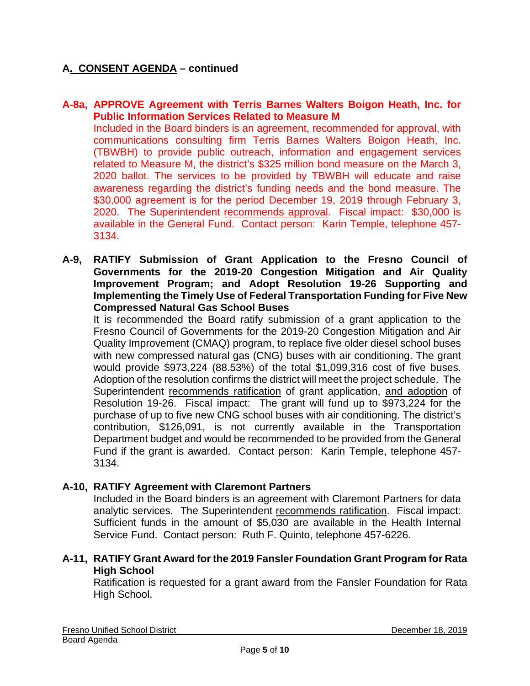#### **A-8a, APPROVE Agreement with Terris Barnes Walters Boigon Heath, Inc. for Public Information Services Related to Measure M**

Included in the Board binders is an agreement, recommended for approval, with communications consulting firm Terris Barnes Walters Boigon Heath, Inc. (TBWBH) to provide public outreach, information and engagement services related to Measure M, the district's \$325 million bond measure on the March 3, 2020 ballot. The services to be provided by TBWBH will educate and raise awareness regarding the district's funding needs and the bond measure. The \$30,000 agreement is for the period December 19, 2019 through February 3, 2020. The Superintendent recommends approval. Fiscal impact: \$30,000 is available in the General Fund. Contact person: Karin Temple, telephone 457- 3134.

**A-9, RATIFY Submission of Grant Application to the Fresno Council of Governments for the 2019-20 Congestion Mitigation and Air Quality Improvement Program; and Adopt Resolution 19-26 Supporting and Implementing the Timely Use of Federal Transportation Funding for Five New Compressed Natural Gas School Buses**

It is recommended the Board ratify submission of a grant application to the Fresno Council of Governments for the 2019-20 Congestion Mitigation and Air Quality Improvement (CMAQ) program, to replace five older diesel school buses with new compressed natural gas (CNG) buses with air conditioning. The grant would provide \$973,224 (88.53%) of the total \$1,099,316 cost of five buses. Adoption of the resolution confirms the district will meet the project schedule. The Superintendent recommends ratification of grant application, and adoption of Resolution 19-26. Fiscal impact: The grant will fund up to \$973,224 for the purchase of up to five new CNG school buses with air conditioning. The district's contribution, \$126,091, is not currently available in the Transportation Department budget and would be recommended to be provided from the General Fund if the grant is awarded. Contact person: Karin Temple, telephone 457- 3134.

### **A-10, RATIFY Agreement with Claremont Partners**

Included in the Board binders is an agreement with Claremont Partners for data analytic services. The Superintendent recommends ratification. Fiscal impact: Sufficient funds in the amount of \$5,030 are available in the Health Internal Service Fund. Contact person: Ruth F. Quinto, telephone 457-6226.

### **A-11, RATIFY Grant Award for the 2019 Fansler Foundation Grant Program for Rata High School**

Ratification is requested for a grant award from the Fansler Foundation for Rata High School.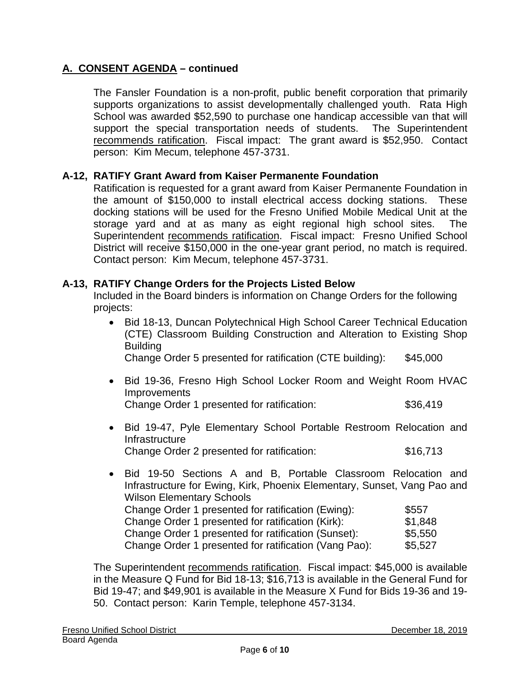The Fansler Foundation is a non-profit, public benefit corporation that primarily supports organizations to assist developmentally challenged youth. Rata High School was awarded \$52,590 to purchase one handicap accessible van that will support the special transportation needs of students. The Superintendent recommends ratification. Fiscal impact: The grant award is \$52,950. Contact person: Kim Mecum, telephone 457-3731.

### **A-12, RATIFY Grant Award from Kaiser Permanente Foundation**

Ratification is requested for a grant award from Kaiser Permanente Foundation in the amount of \$150,000 to install electrical access docking stations. These docking stations will be used for the Fresno Unified Mobile Medical Unit at the storage yard and at as many as eight regional high school sites. The Superintendent recommends ratification. Fiscal impact: Fresno Unified School District will receive \$150,000 in the one-year grant period, no match is required. Contact person: Kim Mecum, telephone 457-3731.

#### **A-13, RATIFY Change Orders for the Projects Listed Below**

Included in the Board binders is information on Change Orders for the following projects:

• Bid 18-13, Duncan Polytechnical High School Career Technical Education (CTE) Classroom Building Construction and Alteration to Existing Shop Building

Change Order 5 presented for ratification (CTE building): \$45,000

- Bid 19-36, Fresno High School Locker Room and Weight Room HVAC **Improvements** Change Order 1 presented for ratification: \$36,419
- Bid 19-47, Pyle Elementary School Portable Restroom Relocation and Infrastructure Change Order 2 presented for ratification: \$16,713
- Bid 19-50 Sections A and B, Portable Classroom Relocation and Infrastructure for Ewing, Kirk, Phoenix Elementary, Sunset, Vang Pao and Wilson Elementary Schools Change Order 1 presented for ratification (Ewing): \$557 Change Order 1 presented for ratification (Kirk): \$1,848 Change Order 1 presented for ratification (Sunset): \$5,550 Change Order 1 presented for ratification (Vang Pao): \$5,527

The Superintendent recommends ratification. Fiscal impact: \$45,000 is available in the Measure Q Fund for Bid 18-13; \$16,713 is available in the General Fund for Bid 19-47; and \$49,901 is available in the Measure X Fund for Bids 19-36 and 19- 50. Contact person: Karin Temple, telephone 457-3134.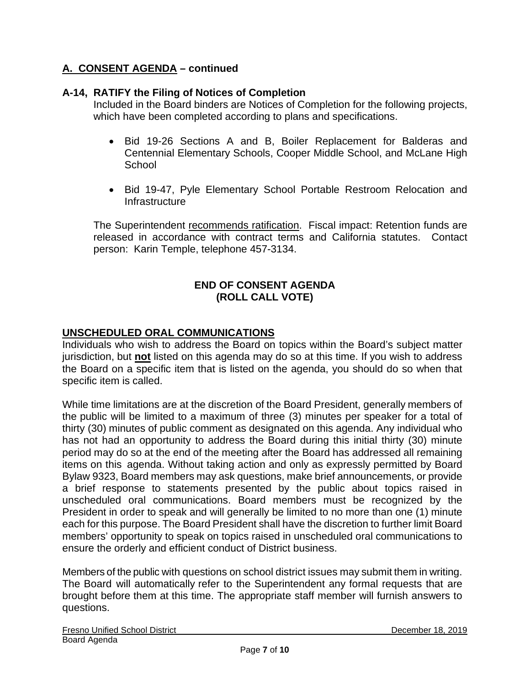### **A-14, RATIFY the Filing of Notices of Completion**

Included in the Board binders are Notices of Completion for the following projects, which have been completed according to plans and specifications.

- Bid 19-26 Sections A and B, Boiler Replacement for Balderas and Centennial Elementary Schools, Cooper Middle School, and McLane High **School**
- Bid 19-47, Pyle Elementary School Portable Restroom Relocation and Infrastructure

The Superintendent recommends ratification. Fiscal impact: Retention funds are released in accordance with contract terms and California statutes. Contact person: Karin Temple, telephone 457-3134.

### **END OF CONSENT AGENDA (ROLL CALL VOTE)**

### **UNSCHEDULED ORAL COMMUNICATIONS**

Individuals who wish to address the Board on topics within the Board's subject matter jurisdiction, but **not** listed on this agenda may do so at this time. If you wish to address the Board on a specific item that is listed on the agenda, you should do so when that specific item is called.

While time limitations are at the discretion of the Board President, generally members of the public will be limited to a maximum of three (3) minutes per speaker for a total of thirty (30) minutes of public comment as designated on this agenda. Any individual who has not had an opportunity to address the Board during this initial thirty (30) minute period may do so at the end of the meeting after the Board has addressed all remaining items on this agenda. Without taking action and only as expressly permitted by Board Bylaw 9323, Board members may ask questions, make brief announcements, or provide a brief response to statements presented by the public about topics raised in unscheduled oral communications. Board members must be recognized by the President in order to speak and will generally be limited to no more than one (1) minute each for this purpose. The Board President shall have the discretion to further limit Board members' opportunity to speak on topics raised in unscheduled oral communications to ensure the orderly and efficient conduct of District business.

Members of the public with questions on school district issues may submit them in writing. The Board will automatically refer to the Superintendent any formal requests that are brought before them at this time. The appropriate staff member will furnish answers to questions.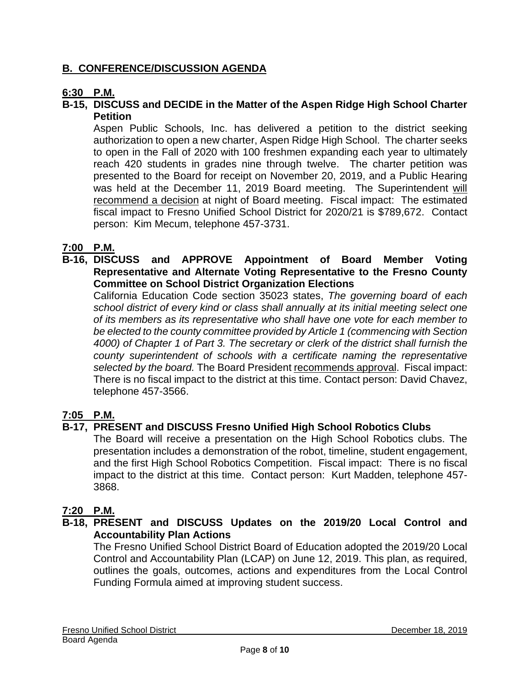### **B. CONFERENCE/DISCUSSION AGENDA**

### **6:30 P.M.**

### **B-15, DISCUSS and DECIDE in the Matter of the Aspen Ridge High School Charter Petition**

Aspen Public Schools, Inc. has delivered a petition to the district seeking authorization to open a new charter, Aspen Ridge High School. The charter seeks to open in the Fall of 2020 with 100 freshmen expanding each year to ultimately reach 420 students in grades nine through twelve. The charter petition was presented to the Board for receipt on November 20, 2019, and a Public Hearing was held at the December 11, 2019 Board meeting. The Superintendent will recommend a decision at night of Board meeting. Fiscal impact: The estimated fiscal impact to Fresno Unified School District for 2020/21 is \$789,672. Contact person: Kim Mecum, telephone 457-3731.

### **7:00 P.M.**

#### **B-16, DISCUSS and APPROVE Appointment of Board Member Voting Representative and Alternate Voting Representative to the Fresno County Committee on School District Organization Elections**

California Education Code section 35023 states, *The governing board of each school district of every kind or class shall annually at its initial meeting select one of its members as its representative who shall have one vote for each member to be elected to the county committee provided by Article 1 (commencing with Section 4000) of Chapter 1 of Part 3. The secretary or clerk of the district shall furnish the county superintendent of schools with a certificate naming the representative selected by the board.* The Board President recommends approval. Fiscal impact: There is no fiscal impact to the district at this time. Contact person: David Chavez, telephone 457-3566.

### **7:05 P.M.**

### **B-17, PRESENT and DISCUSS Fresno Unified High School Robotics Clubs**

The Board will receive a presentation on the High School Robotics clubs. The presentation includes a demonstration of the robot, timeline, student engagement, and the first High School Robotics Competition. Fiscal impact: There is no fiscal impact to the district at this time. Contact person: Kurt Madden, telephone 457- 3868.

### **7:20 P.M.**

### **B-18, PRESENT and DISCUSS Updates on the 2019/20 Local Control and Accountability Plan Actions**

The Fresno Unified School District Board of Education adopted the 2019/20 Local Control and Accountability Plan (LCAP) on June 12, 2019. This plan, as required, outlines the goals, outcomes, actions and expenditures from the Local Control Funding Formula aimed at improving student success.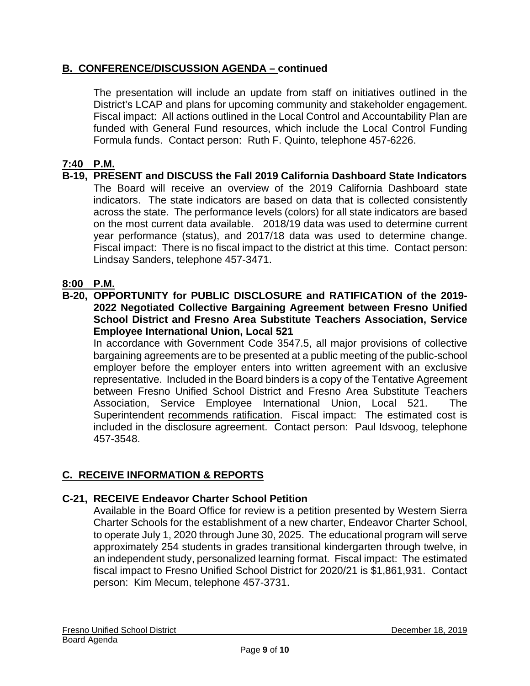### **B. CONFERENCE/DISCUSSION AGENDA – continued**

The presentation will include an update from staff on initiatives outlined in the District's LCAP and plans for upcoming community and stakeholder engagement. Fiscal impact: All actions outlined in the Local Control and Accountability Plan are funded with General Fund resources, which include the Local Control Funding Formula funds. Contact person: Ruth F. Quinto, telephone 457-6226.

### **7:40 P.M.**

**B-19, PRESENT and DISCUSS the Fall 2019 California Dashboard State Indicators** The Board will receive an overview of the 2019 California Dashboard state indicators. The state indicators are based on data that is collected consistently across the state. The performance levels (colors) for all state indicators are based on the most current data available. 2018/19 data was used to determine current year performance (status), and 2017/18 data was used to determine change. Fiscal impact: There is no fiscal impact to the district at this time. Contact person: Lindsay Sanders, telephone 457-3471.

### **8:00 P.M.**

**B-20, OPPORTUNITY for PUBLIC DISCLOSURE and RATIFICATION of the 2019- 2022 Negotiated Collective Bargaining Agreement between Fresno Unified School District and Fresno Area Substitute Teachers Association, Service Employee International Union, Local 521**

In accordance with Government Code 3547.5, all major provisions of collective bargaining agreements are to be presented at a public meeting of the public-school employer before the employer enters into written agreement with an exclusive representative. Included in the Board binders is a copy of the Tentative Agreement between Fresno Unified School District and Fresno Area Substitute Teachers Association, Service Employee International Union, Local 521. The Superintendent recommends ratification. Fiscal impact: The estimated cost is included in the disclosure agreement. Contact person: Paul Idsvoog, telephone 457-3548.

## **C. RECEIVE INFORMATION & REPORTS**

### **C-21, RECEIVE Endeavor Charter School Petition**

Available in the Board Office for review is a petition presented by Western Sierra Charter Schools for the establishment of a new charter, Endeavor Charter School, to operate July 1, 2020 through June 30, 2025. The educational program will serve approximately 254 students in grades transitional kindergarten through twelve, in an independent study, personalized learning format. Fiscal impact: The estimated fiscal impact to Fresno Unified School District for 2020/21 is \$1,861,931. Contact person: Kim Mecum, telephone 457-3731.